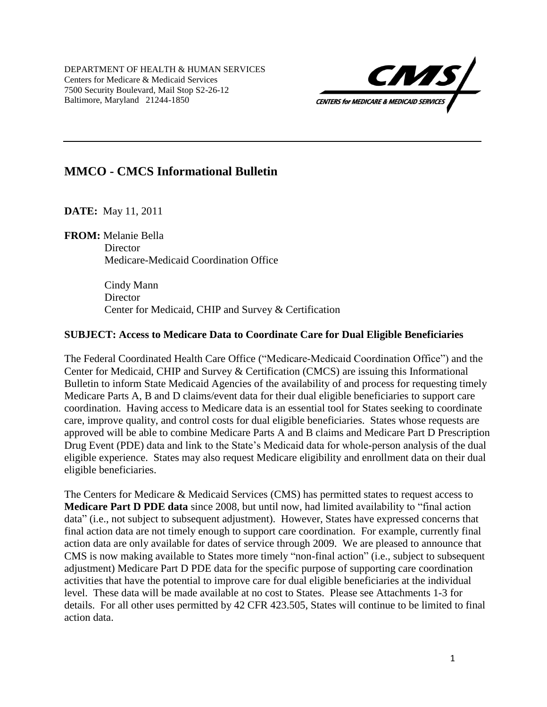DEPARTMENT OF HEALTH & HUMAN SERVICES Centers for Medicare & Medicaid Services 7500 Security Boulevard, Mail Stop S2-26-12 Baltimore, Maryland 21244-1850



## **MMCO - CMCS Informational Bulletin**

**DATE:** May 11, 2011

**FROM:** Melanie Bella **Director** Medicare-Medicaid Coordination Office

> Cindy Mann **Director** Center for Medicaid, CHIP and Survey & Certification

### **SUBJECT: Access to Medicare Data to Coordinate Care for Dual Eligible Beneficiaries**

The Federal Coordinated Health Care Office ("Medicare-Medicaid Coordination Office") and the Center for Medicaid, CHIP and Survey & Certification (CMCS) are issuing this Informational Bulletin to inform State Medicaid Agencies of the availability of and process for requesting timely Medicare Parts A, B and D claims/event data for their dual eligible beneficiaries to support care coordination. Having access to Medicare data is an essential tool for States seeking to coordinate care, improve quality, and control costs for dual eligible beneficiaries. States whose requests are approved will be able to combine Medicare Parts A and B claims and Medicare Part D Prescription Drug Event (PDE) data and link to the State's Medicaid data for whole-person analysis of the dual eligible experience. States may also request Medicare eligibility and enrollment data on their dual eligible beneficiaries.

The Centers for Medicare & Medicaid Services (CMS) has permitted states to request access to **Medicare Part D PDE data** since 2008, but until now, had limited availability to "final action data" (i.e., not subject to subsequent adjustment). However, States have expressed concerns that final action data are not timely enough to support care coordination. For example, currently final action data are only available for dates of service through 2009. We are pleased to announce that CMS is now making available to States more timely "non-final action" (i.e., subject to subsequent adjustment) Medicare Part D PDE data for the specific purpose of supporting care coordination activities that have the potential to improve care for dual eligible beneficiaries at the individual level. These data will be made available at no cost to States. Please see Attachments 1-3 for details. For all other uses permitted by 42 CFR 423.505, States will continue to be limited to final action data.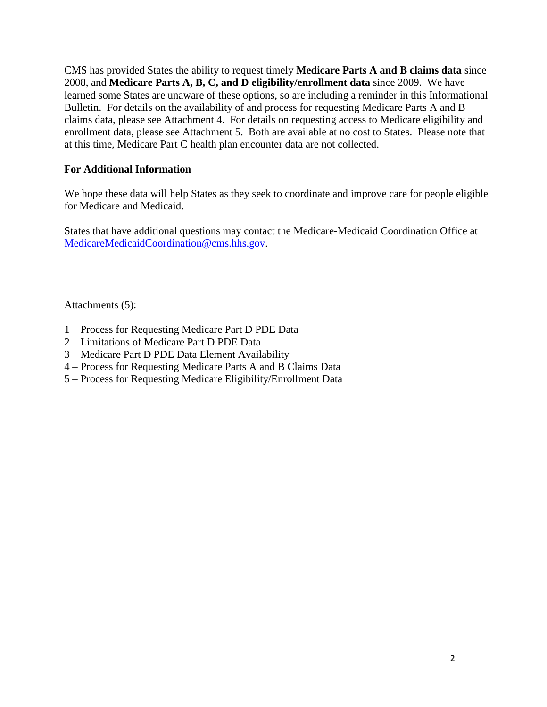CMS has provided States the ability to request timely **Medicare Parts A and B claims data** since 2008, and **Medicare Parts A, B, C, and D eligibility/enrollment data** since 2009. We have learned some States are unaware of these options, so are including a reminder in this Informational Bulletin. For details on the availability of and process for requesting Medicare Parts A and B claims data, please see Attachment 4. For details on requesting access to Medicare eligibility and enrollment data, please see Attachment 5. Both are available at no cost to States. Please note that at this time, Medicare Part C health plan encounter data are not collected.

### **For Additional Information**

We hope these data will help States as they seek to coordinate and improve care for people eligible for Medicare and Medicaid.

States that have additional questions may contact the Medicare-Medicaid Coordination Office at [MedicareMedicaidCoordination@cms.hhs.gov.](mailto:MedicareMedicaidCoordination@cms.hhs.gov)

Attachments (5):

- 1 Process for Requesting Medicare Part D PDE Data
- 2 Limitations of Medicare Part D PDE Data
- 3 Medicare Part D PDE Data Element Availability
- 4 Process for Requesting Medicare Parts A and B Claims Data
- 5 Process for Requesting Medicare Eligibility/Enrollment Data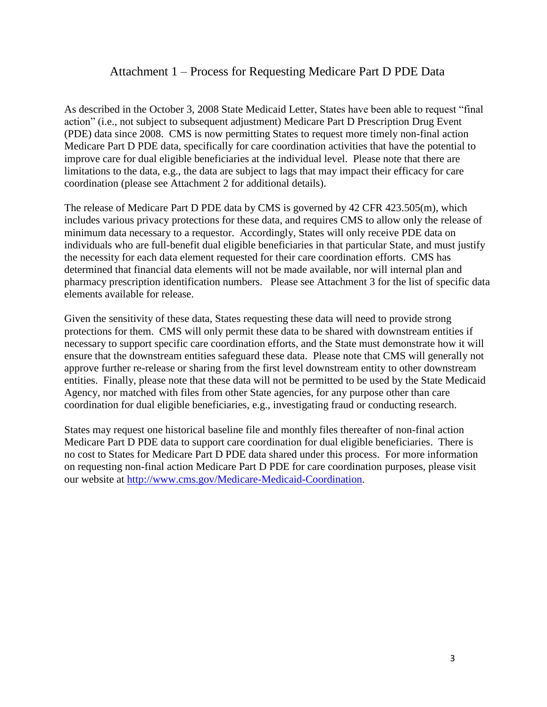## Attachment 1 – Process for Requesting Medicare Part D PDE Data

As described in the October 3, 2008 State Medicaid Letter, States have been able to request "final action" (i.e., not subject to subsequent adjustment) Medicare Part D Prescription Drug Event (PDE) data since 2008. CMS is now permitting States to request more timely non-final action Medicare Part D PDE data, specifically for care coordination activities that have the potential to improve care for dual eligible beneficiaries at the individual level. Please note that there are limitations to the data, e.g., the data are subject to lags that may impact their efficacy for care coordination (please see Attachment 2 for additional details).

The release of Medicare Part D PDE data by CMS is governed by 42 CFR 423.505(m), which includes various privacy protections for these data, and requires CMS to allow only the release of minimum data necessary to a requestor. Accordingly, States will only receive PDE data on individuals who are full-benefit dual eligible beneficiaries in that particular State, and must justify the necessity for each data element requested for their care coordination efforts. CMS has determined that financial data elements will not be made available, nor will internal plan and pharmacy prescription identification numbers. Please see Attachment 3 for the list of specific data elements available for release.

Given the sensitivity of these data, States requesting these data will need to provide strong protections for them. CMS will only permit these data to be shared with downstream entities if necessary to support specific care coordination efforts, and the State must demonstrate how it will ensure that the downstream entities safeguard these data. Please note that CMS will generally not approve further re-release or sharing from the first level downstream entity to other downstream entities. Finally, please note that these data will not be permitted to be used by the State Medicaid Agency, nor matched with files from other State agencies, for any purpose other than care coordination for dual eligible beneficiaries, e.g., investigating fraud or conducting research.

States may request one historical baseline file and monthly files thereafter of non-final action Medicare Part D PDE data to support care coordination for dual eligible beneficiaries. There is no cost to States for Medicare Part D PDE data shared under this process. For more information on requesting non-final action Medicare Part D PDE for care coordination purposes, please visit our website at [http://www.cms.gov/Medicare-Medicaid-Coordination.](http://www.cms.gov/Medicare-Medicaid-Coordination)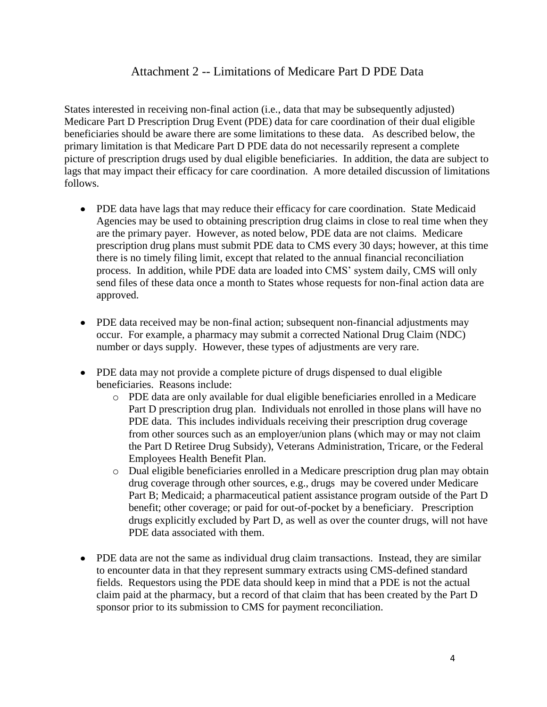## Attachment 2 -- Limitations of Medicare Part D PDE Data

States interested in receiving non-final action (i.e., data that may be subsequently adjusted) Medicare Part D Prescription Drug Event (PDE) data for care coordination of their dual eligible beneficiaries should be aware there are some limitations to these data. As described below, the primary limitation is that Medicare Part D PDE data do not necessarily represent a complete picture of prescription drugs used by dual eligible beneficiaries. In addition, the data are subject to lags that may impact their efficacy for care coordination. A more detailed discussion of limitations follows.

- PDE data have lags that may reduce their efficacy for care coordination. State Medicaid Agencies may be used to obtaining prescription drug claims in close to real time when they are the primary payer. However, as noted below, PDE data are not claims. Medicare prescription drug plans must submit PDE data to CMS every 30 days; however, at this time there is no timely filing limit, except that related to the annual financial reconciliation process. In addition, while PDE data are loaded into CMS' system daily, CMS will only send files of these data once a month to States whose requests for non-final action data are approved.
- PDE data received may be non-final action; subsequent non-financial adjustments may occur. For example, a pharmacy may submit a corrected National Drug Claim (NDC) number or days supply. However, these types of adjustments are very rare.
- PDE data may not provide a complete picture of drugs dispensed to dual eligible beneficiaries. Reasons include:
	- o PDE data are only available for dual eligible beneficiaries enrolled in a Medicare Part D prescription drug plan. Individuals not enrolled in those plans will have no PDE data. This includes individuals receiving their prescription drug coverage from other sources such as an employer/union plans (which may or may not claim the Part D Retiree Drug Subsidy), Veterans Administration, Tricare, or the Federal Employees Health Benefit Plan.
	- o Dual eligible beneficiaries enrolled in a Medicare prescription drug plan may obtain drug coverage through other sources, e.g., drugs may be covered under Medicare Part B; Medicaid; a pharmaceutical patient assistance program outside of the Part D benefit; other coverage; or paid for out-of-pocket by a beneficiary. Prescription drugs explicitly excluded by Part D, as well as over the counter drugs, will not have PDE data associated with them.
- PDE data are not the same as individual drug claim transactions. Instead, they are similar to encounter data in that they represent summary extracts using CMS-defined standard fields. Requestors using the PDE data should keep in mind that a PDE is not the actual claim paid at the pharmacy, but a record of that claim that has been created by the Part D sponsor prior to its submission to CMS for payment reconciliation.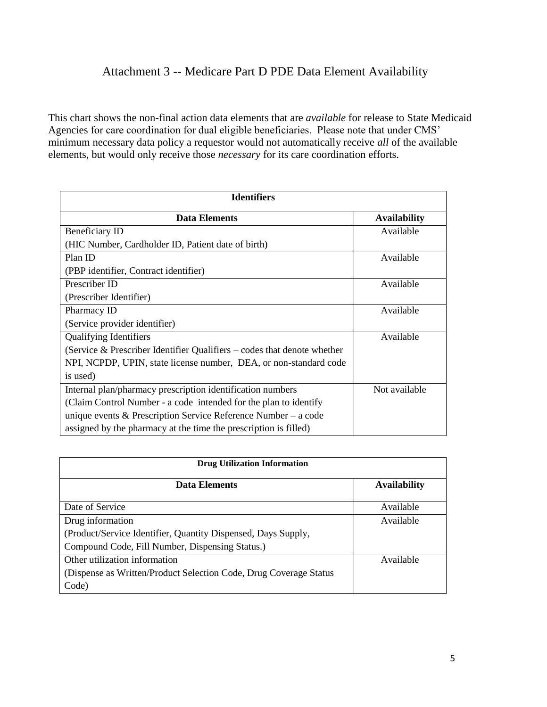# Attachment 3 -- Medicare Part D PDE Data Element Availability

This chart shows the non-final action data elements that are *available* for release to State Medicaid Agencies for care coordination for dual eligible beneficiaries. Please note that under CMS' minimum necessary data policy a requestor would not automatically receive *all* of the available elements, but would only receive those *necessary* for its care coordination efforts.

| <b>Identifiers</b>                                                         |                     |  |
|----------------------------------------------------------------------------|---------------------|--|
| <b>Data Elements</b>                                                       | <b>Availability</b> |  |
| Beneficiary ID                                                             | Available           |  |
| (HIC Number, Cardholder ID, Patient date of birth)                         |                     |  |
| Plan ID                                                                    | Available           |  |
| (PBP identifier, Contract identifier)                                      |                     |  |
| Prescriber ID                                                              | Available           |  |
| (Prescriber Identifier)                                                    |                     |  |
| Pharmacy ID                                                                | Available           |  |
| (Service provider identifier)                                              |                     |  |
| <b>Qualifying Identifiers</b>                                              | Available           |  |
| (Service $\&$ Prescriber Identifier Qualifiers – codes that denote whether |                     |  |
| NPI, NCPDP, UPIN, state license number, DEA, or non-standard code          |                     |  |
| is used)                                                                   |                     |  |
| Internal plan/pharmacy prescription identification numbers                 | Not available       |  |
| (Claim Control Number - a code intended for the plan to identify           |                     |  |
| unique events & Prescription Service Reference Number – a code             |                     |  |
| assigned by the pharmacy at the time the prescription is filled)           |                     |  |

| <b>Drug Utilization Information</b>                                |                     |  |
|--------------------------------------------------------------------|---------------------|--|
| Data Elements                                                      | <b>Availability</b> |  |
| Date of Service                                                    | Available           |  |
| Drug information                                                   | Available           |  |
| (Product/Service Identifier, Quantity Dispensed, Days Supply,      |                     |  |
| Compound Code, Fill Number, Dispensing Status.)                    |                     |  |
| Other utilization information                                      | Available           |  |
| (Dispense as Written/Product Selection Code, Drug Coverage Status) |                     |  |
| Code)                                                              |                     |  |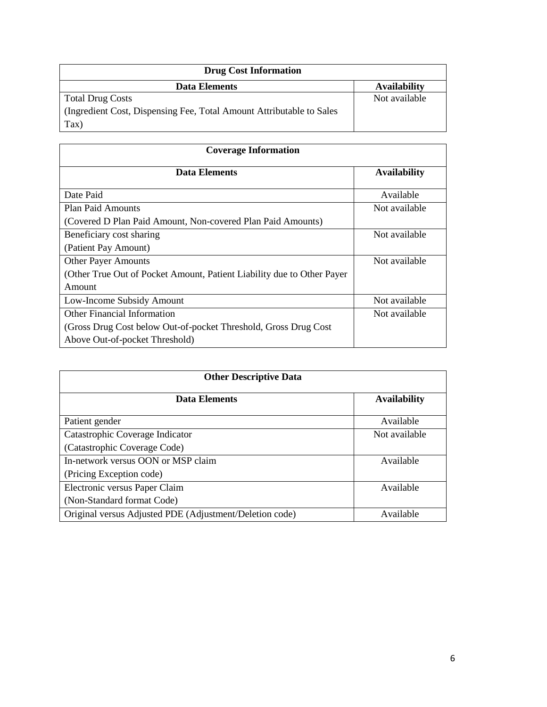| <b>Drug Cost Information</b>                                         |                     |  |
|----------------------------------------------------------------------|---------------------|--|
| Data Elements                                                        | <b>Availability</b> |  |
| <b>Total Drug Costs</b>                                              | Not available       |  |
| (Ingredient Cost, Dispensing Fee, Total Amount Attributable to Sales |                     |  |
| Tax)                                                                 |                     |  |

| <b>Coverage Information</b>                                             |                     |  |
|-------------------------------------------------------------------------|---------------------|--|
| Data Elements                                                           | <b>Availability</b> |  |
| Date Paid                                                               | Available           |  |
| <b>Plan Paid Amounts</b>                                                | Not available       |  |
| (Covered D Plan Paid Amount, Non-covered Plan Paid Amounts)             |                     |  |
| Beneficiary cost sharing                                                | Not available       |  |
| (Patient Pay Amount)                                                    |                     |  |
| <b>Other Payer Amounts</b>                                              | Not available       |  |
| (Other True Out of Pocket Amount, Patient Liability due to Other Payer) |                     |  |
| Amount                                                                  |                     |  |
| Low-Income Subsidy Amount                                               | Not available       |  |
| Other Financial Information                                             | Not available       |  |
| (Gross Drug Cost below Out-of-pocket Threshold, Gross Drug Cost         |                     |  |
| Above Out-of-pocket Threshold)                                          |                     |  |

| <b>Other Descriptive Data</b>                           |                     |  |
|---------------------------------------------------------|---------------------|--|
| Data Elements                                           | <b>Availability</b> |  |
| Patient gender                                          | Available           |  |
| Catastrophic Coverage Indicator                         | Not available       |  |
| (Catastrophic Coverage Code)                            |                     |  |
| In-network versus OON or MSP claim                      | Available           |  |
| (Pricing Exception code)                                |                     |  |
| Electronic versus Paper Claim                           | Available           |  |
| (Non-Standard format Code)                              |                     |  |
| Original versus Adjusted PDE (Adjustment/Deletion code) | Available           |  |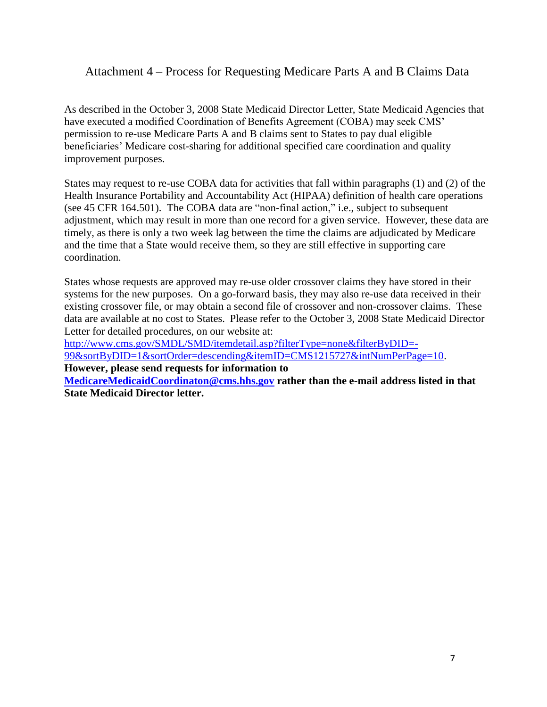## Attachment 4 – Process for Requesting Medicare Parts A and B Claims Data

As described in the October 3, 2008 State Medicaid Director Letter, State Medicaid Agencies that have executed a modified Coordination of Benefits Agreement (COBA) may seek CMS' permission to re-use Medicare Parts A and B claims sent to States to pay dual eligible beneficiaries' Medicare cost-sharing for additional specified care coordination and quality improvement purposes.

States may request to re-use COBA data for activities that fall within paragraphs (1) and (2) of the Health Insurance Portability and Accountability Act (HIPAA) definition of health care operations (see 45 CFR 164.501). The COBA data are "non-final action," i.e., subject to subsequent adjustment, which may result in more than one record for a given service. However, these data are timely, as there is only a two week lag between the time the claims are adjudicated by Medicare and the time that a State would receive them, so they are still effective in supporting care coordination.

States whose requests are approved may re-use older crossover claims they have stored in their systems for the new purposes. On a go-forward basis, they may also re-use data received in their existing crossover file, or may obtain a second file of crossover and non-crossover claims. These data are available at no cost to States. Please refer to the October 3, 2008 State Medicaid Director Letter for detailed procedures, on our website at:

[http://www.cms.gov/SMDL/SMD/itemdetail.asp?filterType=none&filterByDID=-](http://www.cms.gov/SMDL/SMD/itemdetail.asp?filterType=none&filterByDID=-99&sortByDID=1&sortOrder=descending&itemID=CMS1215727&intNumPerPage=10) [99&sortByDID=1&sortOrder=descending&itemID=CMS1215727&intNumPerPage=10.](http://www.cms.gov/SMDL/SMD/itemdetail.asp?filterType=none&filterByDID=-99&sortByDID=1&sortOrder=descending&itemID=CMS1215727&intNumPerPage=10)

**However, please send requests for information to** 

**[MedicareMedicaidCoordinaton@cms.hhs.gov](mailto:MedicareMedicaidCoordinaton@cms.hhs.gov) rather than the e-mail address listed in that State Medicaid Director letter.**